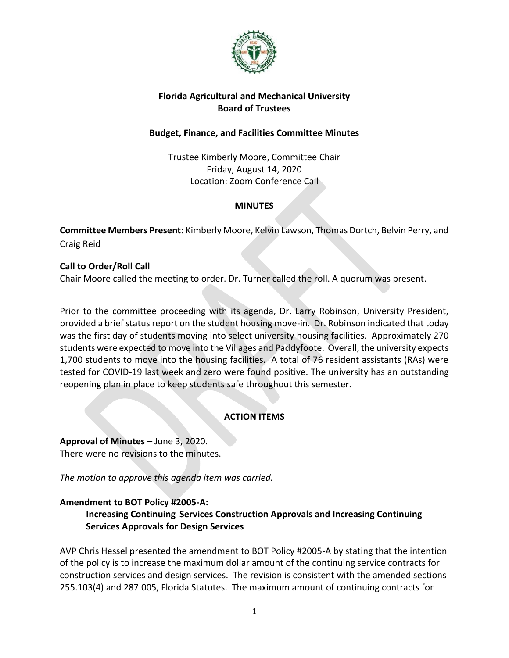

### **Florida Agricultural and Mechanical University Board of Trustees**

### **Budget, Finance, and Facilities Committee Minutes**

Trustee Kimberly Moore, Committee Chair Friday, August 14, 2020 Location: Zoom Conference Call

## **MINUTES**

**Committee Members Present:** Kimberly Moore, Kelvin Lawson, Thomas Dortch, Belvin Perry, and Craig Reid

### **Call to Order/Roll Call**

Chair Moore called the meeting to order. Dr. Turner called the roll. A quorum was present.

Prior to the committee proceeding with its agenda, Dr. Larry Robinson, University President, provided a brief status report on the student housing move-in. Dr. Robinson indicated that today was the first day of students moving into select university housing facilities. Approximately 270 students were expected to move into the Villages and Paddyfoote. Overall, the university expects 1,700 students to move into the housing facilities. A total of 76 resident assistants (RAs) were tested for COVID-19 last week and zero were found positive. The university has an outstanding reopening plan in place to keep students safe throughout this semester.

### **ACTION ITEMS**

**Approval of Minutes –** June 3, 2020. There were no revisions to the minutes.

*The motion to approve this agenda item was carried.*

### **Amendment to BOT Policy #2005-A:**

### **Increasing Continuing Services Construction Approvals and Increasing Continuing Services Approvals for Design Services**

AVP Chris Hessel presented the amendment to BOT Policy #2005-A by stating that the intention of the policy is to increase the maximum dollar amount of the continuing service contracts for construction services and design services. The revision is consistent with the amended sections 255.103(4) and 287.005, Florida Statutes. The maximum amount of continuing contracts for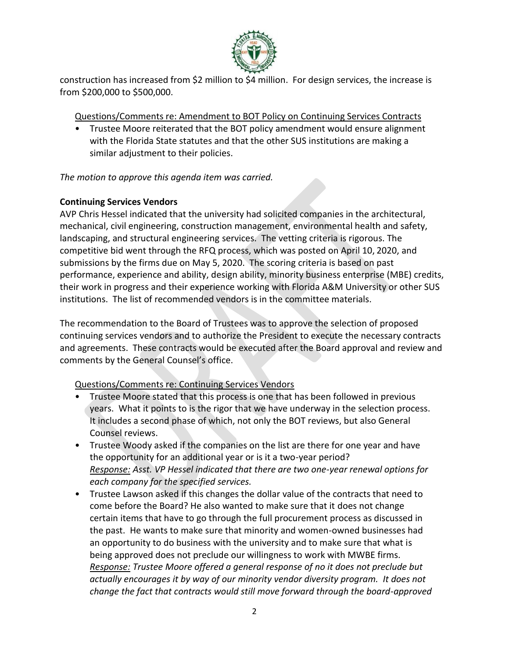

construction has increased from \$2 million to \$4 million. For design services, the increase is from \$200,000 to \$500,000.

## Questions/Comments re: Amendment to BOT Policy on Continuing Services Contracts

• Trustee Moore reiterated that the BOT policy amendment would ensure alignment with the Florida State statutes and that the other SUS institutions are making a similar adjustment to their policies.

*The motion to approve this agenda item was carried.*

## **Continuing Services Vendors**

AVP Chris Hessel indicated that the university had solicited companies in the architectural, mechanical, civil engineering, construction management, environmental health and safety, landscaping, and structural engineering services. The vetting criteria is rigorous. The competitive bid went through the RFQ process, which was posted on April 10, 2020, and submissions by the firms due on May 5, 2020. The scoring criteria is based on past performance, experience and ability, design ability, minority business enterprise (MBE) credits, their work in progress and their experience working with Florida A&M University or other SUS institutions. The list of recommended vendors is in the committee materials.

The recommendation to the Board of Trustees was to approve the selection of proposed continuing services vendors and to authorize the President to execute the necessary contracts and agreements. These contracts would be executed after the Board approval and review and comments by the General Counsel's office.

# Questions/Comments re: Continuing Services Vendors

- Trustee Moore stated that this process is one that has been followed in previous years. What it points to is the rigor that we have underway in the selection process. It includes a second phase of which, not only the BOT reviews, but also General Counsel reviews.
- Trustee Woody asked if the companies on the list are there for one year and have the opportunity for an additional year or is it a two-year period? *Response: Asst. VP Hessel indicated that there are two one-year renewal options for each company for the specified services.*
- Trustee Lawson asked if this changes the dollar value of the contracts that need to come before the Board? He also wanted to make sure that it does not change certain items that have to go through the full procurement process as discussed in the past. He wants to make sure that minority and women-owned businesses had an opportunity to do business with the university and to make sure that what is being approved does not preclude our willingness to work with MWBE firms. *Response: Trustee Moore offered a general response of no it does not preclude but actually encourages it by way of our minority vendor diversity program. It does not change the fact that contracts would still move forward through the board-approved*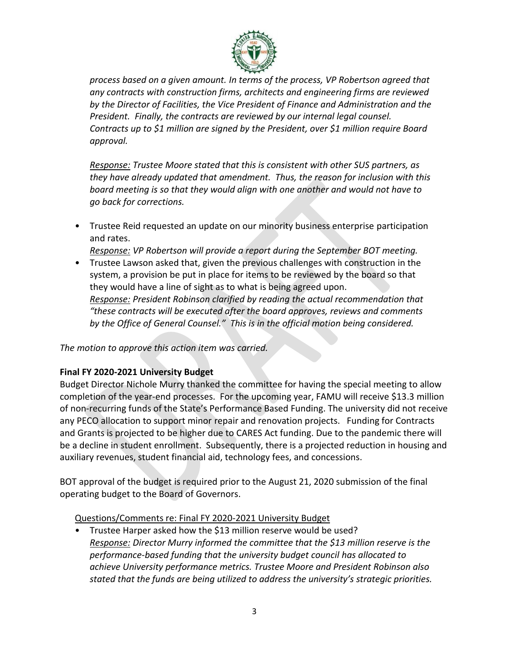

*process based on a given amount. In terms of the process, VP Robertson agreed that any contracts with construction firms, architects and engineering firms are reviewed by the Director of Facilities, the Vice President of Finance and Administration and the President. Finally, the contracts are reviewed by our internal legal counsel. Contracts up to \$1 million are signed by the President, over \$1 million require Board approval.*

*Response: Trustee Moore stated that this is consistent with other SUS partners, as they have already updated that amendment. Thus, the reason for inclusion with this board meeting is so that they would align with one another and would not have to go back for corrections.*

• Trustee Reid requested an update on our minority business enterprise participation and rates.

*Response: VP Robertson will provide a report during the September BOT meeting.* 

• Trustee Lawson asked that, given the previous challenges with construction in the system, a provision be put in place for items to be reviewed by the board so that they would have a line of sight as to what is being agreed upon.

*Response: President Robinson clarified by reading the actual recommendation that "these contracts will be executed after the board approves, reviews and comments by the Office of General Counsel." This is in the official motion being considered.*

*The motion to approve this action item was carried.*

### **Final FY 2020-2021 University Budget**

Budget Director Nichole Murry thanked the committee for having the special meeting to allow completion of the year-end processes. For the upcoming year, FAMU will receive \$13.3 million of non-recurring funds of the State's Performance Based Funding. The university did not receive any PECO allocation to support minor repair and renovation projects. Funding for Contracts and Grants is projected to be higher due to CARES Act funding. Due to the pandemic there will be a decline in student enrollment. Subsequently, there is a projected reduction in housing and auxiliary revenues, student financial aid, technology fees, and concessions.

BOT approval of the budget is required prior to the August 21, 2020 submission of the final operating budget to the Board of Governors.

Questions/Comments re: Final FY 2020-2021 University Budget

• Trustee Harper asked how the \$13 million reserve would be used? *Response: Director Murry informed the committee that the \$13 million reserve is the performance-based funding that the university budget council has allocated to achieve University performance metrics. Trustee Moore and President Robinson also stated that the funds are being utilized to address the university's strategic priorities.*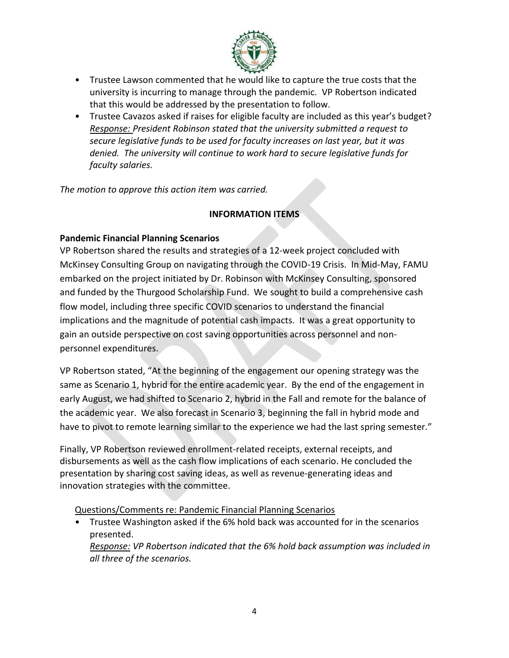

- Trustee Lawson commented that he would like to capture the true costs that the university is incurring to manage through the pandemic. VP Robertson indicated that this would be addressed by the presentation to follow.
- Trustee Cavazos asked if raises for eligible faculty are included as this year's budget? *Response: President Robinson stated that the university submitted a request to secure legislative funds to be used for faculty increases on last year, but it was denied. The university will continue to work hard to secure legislative funds for faculty salaries.*

*The motion to approve this action item was carried.*

## **INFORMATION ITEMS**

## **Pandemic Financial Planning Scenarios**

VP Robertson shared the results and strategies of a 12-week project concluded with McKinsey Consulting Group on navigating through the COVID-19 Crisis. In Mid-May, FAMU embarked on the project initiated by Dr. Robinson with McKinsey Consulting, sponsored and funded by the Thurgood Scholarship Fund. We sought to build a comprehensive cash flow model, including three specific COVID scenarios to understand the financial implications and the magnitude of potential cash impacts. It was a great opportunity to gain an outside perspective on cost saving opportunities across personnel and nonpersonnel expenditures.

VP Robertson stated, "At the beginning of the engagement our opening strategy was the same as Scenario 1, hybrid for the entire academic year. By the end of the engagement in early August, we had shifted to Scenario 2, hybrid in the Fall and remote for the balance of the academic year. We also forecast in Scenario 3, beginning the fall in hybrid mode and have to pivot to remote learning similar to the experience we had the last spring semester."

Finally, VP Robertson reviewed enrollment-related receipts, external receipts, and disbursements as well as the cash flow implications of each scenario. He concluded the presentation by sharing cost saving ideas, as well as revenue-generating ideas and innovation strategies with the committee.

### Questions/Comments re: Pandemic Financial Planning Scenarios

• Trustee Washington asked if the 6% hold back was accounted for in the scenarios presented. *Response: VP Robertson indicated that the 6% hold back assumption was included in all three of the scenarios.*